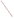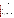# **Technical Factsheet on: PENTACHLOROPHENOL**

# [List of Contaminants](http://www.epa.gov/safewater/hfacts.html)

 As part of the Drinking Water and Health pages, this fact sheet is part of a larger publication: **National Primary Drinking Water Regulations** 

Drinking Water Standards MCLG: zero mg/L MCL: 0.001 mg/L HAL(child): 1 day: 1 mg/L; Longer-term: 0.3 mg/L

## **Health Effects Summary**

Acute: EPA has found pentachlorophenol to potentially cause central nervous system effects from shortterm exposures at levels above the MCL.

Drinking water levels which are considered "safe" for short-term exposures: For a 10-kg (22 lb.) child consuming 1 liter of water per day, an exposure to 1 mg/L for one day or an exposure to 0.3 mg/L for up to 7 years.

 Chronic: Pentachlorophenol has the potential to cause reproductive effects and damage to liver and kidneys from long-term exposure at levels above the MCL.

 lifetime exposure at levels above the MCL. Cancer: There is some evidence that pentachlorophenol may have the potential to cause cancer from a

## **Usage Patterns**

 The greatest uses of pentachlorophenol are as a wood preservative (fungicide). Though once widely used as an herbicide, was banned in 1987 for these and other uses, as well as for any over-the-counter sales.

Other uses included: soil fumigant for termites; seed treating agent for beans; antibacterial agent in disinfectants/cleaners; preharvest defoliant on some crops; preservative for glues, starches, photographic papers.

 Production of pentachlorophenol was 45 million lbs in 1983. In 1983 it was estimated that industries consumed PCP as follows: Wood Preservative, 90%; Sodium Pentachlorophenate, 10%

#### **Release Patterns**

 or use as an industrial wood preservative for utility poles, cross arms, and fenceposts, and other items that consumes about 90% of its production. Pentachlorophenol may be released to the environment as a result of its manufacture, storage, transport,

 leathers and textiles. Pentachlorophenol's used on wood is "restricted" and its non-wood use is undergoing special review by EPA. Other former uses that may have lead to its release were the manufacture of sodium pentachlorophenolate and minor uses as a fungicide, bactericide, algicide, and herbicide for crops,

From 1987 to 1993, according to EPA's Toxic Chemical Release Inventory, pentachlorophenol releases to land and water totalled nearly 100,000 lbs., of which about 80 percent was to land. The most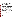widespread releases were primarily from wood preserving industries in many states. However, the great majority of releases occurred at a military munitions plant in Nevada.

# **Environmental Fate**

 Releases to soil can decrease in concentrations due to slow biodegradation and leaching into The Koc values for the total dissociated phenol was calculated to be 1250 and 1800 for light and heavy loam, respectively, while for the undissociated species, the Koc is 25,000. groundwater. Pentachlorophenol has a tendency to adsorb to soil and sediment; calculated Koc= 1000, measured sediment Koc= 3,000-4,000. Adsorption to oxidized sediment is higher than to reduced sediment. Adsorption to soil and sediment appears to be pH dependent, stronger under acid conditions.

 approximately weeks to months. In an artificial stream, microbial degradation became significant after 3 Pentachlorophenol does biodegrade but may require several weeks for acclimation. Half-life in soil is weeks and accounted for 26-46% removal.

 Pentachlorophenol mineralization in water from several sites was very low (<5 ng/L per day). 3 and 5 ppm PCP were completely degraded in 38 and 57 days respectively when incubated in unsaturated soils taken at 4 and 4.5 m depths.

 the sediment or water column, was characterized by an adaptation period (3-5 weeks for the stream as a If released in water, pentachlorophenol will adsorb to sediment, photodegrade (especially at higher pHs) and slowly biodegrade. The low water solubility and moderate vapor pressure would suggest that evaporation from water is not rapid, especially at natural pHs where pentachlorophenol is present in the dissociated form (pKa= 4.74). Biodegradation in the streams, or in specific stream compartments such as whole, and reproducible from the previous year), which was inversely dependent on the concentration of pentachlorophenol and microbial biomass.

 photolysis of the dissociated form in water appears to be a significant process. A measured photolysis Pentachlorophenol does not appear to oxidize or hydrolyze under environmental conditions; however, half-life has been reported to be 0.86 hrs.

 In air, pentachlorophenol will be lost due to photolysis and reaction with photochemically produced the pH of the water since pentachlorophenol will be more dissociated at higher pHs. hydroxyl radicals. Bioconcentration in fish will be moderate. Pentachlorophenol is expected to bioconcentrate because of its low water solubility, but the bioconcentration factor will be dependent upon

 The log BCF with goldfish varied from 0.30 at pH 10 to 1.75 at pH 7 to 2.12 at pH 5.5. Other reported log 2.47 in mosquito fish; 2.85 in zebra fish; 2.62 in golden orfe. The accumulation increased with temperature in orfe and decreased with temperature in zebra fish. The BCF of PCP in humans was results: 5.7, 3.3, 1.4, 1.4, and 1.0 in liver, brain blood, spleen and adipose tissue respectively. BCF values are 2.89 in fathead minnow; 2.4-3.73 in rainbow trout; 0.7-1.7 in sheepshead minnows; and measured from daily intake of PCP and measured concentration in different tissues, giving the following

results: 5.7, 3.3, 1.4, 1.4, and 1.0 in liver, brain blood, spleen and adipose tissue respectively.<br>Humans will be occupationally exposed to pentachlorophenol via inhalation and dermal contact primarily in situations where they use this preservative or are in contact with treated wood product. The general population will be exposed primarily from ingesting food contaminated with pentachlorophenol.

## **Chemical/ Physical Properties**

CAS Number: 87-86-5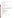US EPA ARCHIVE DOCUMENT

prills/pellets; emulsifiable concentrate; or in organic solvents<br>M.P.: 190-191 C B.P.: 309-310 C<br>Vapor Pressure: 0.00011mm Hg at 25 C Color/ Form/Odor: White solid with needle-like crystals and phenolic odor. Available as: sodium salt in

M.P.: 190-191 C B.P.: 309-310 C

Density/Spec. Grav.: 1.98 at 22 C

Density/Spec. Grav.: 1.98 at 22 C<br>Octanol/Water Partition: Log Kow= 5.12

Solubility: 0.02 g/L of water at 30 C; Slightly soluble in water

Odor/Taste Thresholds (water): Taste: 0.03 mg/L; odor: 1.6 mg/L

Odor/Taste Thresholds (water): Taste: 0.03 mg/L; odor: 1.6 mg/L<br>Soil sorption coefficient: Koc = 3000 to 4000 in sediments; low mobility in soil

Henry's Law Coefficient: N/A

Bioconcentration Factor: Log BCFs of 1 to 5.7 in humans, 1 to 4 in fish; expected to bioconcentrate in aquatic organisms.

 WE Herbicide, Ortho Triox, Osmose WPC, Watershed WP, Weed and Brush Killer Trade Names/Synonyms: PCP, Penchlorol, Dowicide 7, Permasan, Fungifen, Grundier arbezol, Lauxtol, Liroprem, Chlon, Dura Treet II, Santophen 20, Woodtreat, Penta Ready, Penta WR, Forpen-50, Ontrack

## **Other Regulatory Information**

Monitoring For Ground/Surface Water Sources:

Initial Frequency- 4 quarterly samples every 3 years

- Repeat Frequency- If no detections during initial round: 2 quarterly per year if serving >3300 persons;
	- 1 sample per 3 years for smaller systems
- 1 sample per 3 years for smaller systems Triggers Return to Initial Freq. if detect at > 0.00004 mg/L

Analysis:

**Reference Source Method Numbers** 

EPA 600/4-88-039 515.1; 515.2; 525.2; 555

 Granular Activated Charcoal Treatment- Best Available Technologies:

Toxic Release Inventory - Releases to Water and Land, 1987 to 1993 (in pounds):

|                         | Water  |          | Land   |
|-------------------------|--------|----------|--------|
| <b>TOTALS</b>           | 18,700 |          | 79,780 |
| <b>Top Five States</b>  |        |          |        |
| <b>NV</b>               | 0      | 64,100   |        |
| <b>OR</b>               | 4,313  | 5,405    |        |
| <b>WA</b>               | 3,310  | 5,995    |        |
| <b>AR</b>               | 2,735  | 1.615    |        |
| GA                      | 783    | 1.255    |        |
| <b>Major Industries</b> |        |          |        |
| <b>Explosives</b>       |        | $\Omega$ | 34.100 |